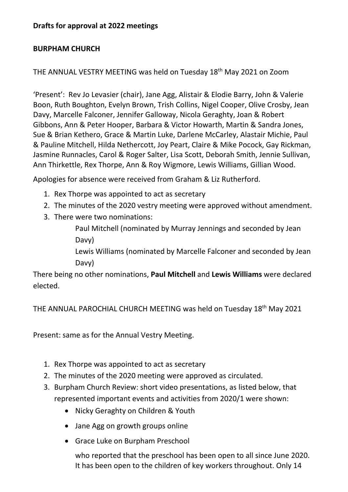## **Drafts for approval at 2022 meetings**

## **BURPHAM CHURCH**

THE ANNUAL VESTRY MEETING was held on Tuesday 18th May 2021 on Zoom

'Present': Rev Jo Levasier (chair), Jane Agg, Alistair & Elodie Barry, John & Valerie Boon, Ruth Boughton, Evelyn Brown, Trish Collins, Nigel Cooper, Olive Crosby, Jean Davy, Marcelle Falconer, Jennifer Galloway, Nicola Geraghty, Joan & Robert Gibbons, Ann & Peter Hooper, Barbara & Victor Howarth, Martin & Sandra Jones, Sue & Brian Kethero, Grace & Martin Luke, Darlene McCarley, Alastair Michie, Paul & Pauline Mitchell, Hilda Nethercott, Joy Peart, Claire & Mike Pocock, Gay Rickman, Jasmine Runnacles, Carol & Roger Salter, Lisa Scott, Deborah Smith, Jennie Sullivan, Ann Thirkettle, Rex Thorpe, Ann & Roy Wigmore, Lewis Williams, Gillian Wood.

Apologies for absence were received from Graham & Liz Rutherford.

- 1. Rex Thorpe was appointed to act as secretary
- 2. The minutes of the 2020 vestry meeting were approved without amendment.
- 3. There were two nominations:

Paul Mitchell (nominated by Murray Jennings and seconded by Jean Davy)

Lewis Williams (nominated by Marcelle Falconer and seconded by Jean Davy)

There being no other nominations, **Paul Mitchell** and **Lewis Williams** were declared elected.

THE ANNUAL PAROCHIAL CHURCH MEETING was held on Tuesday 18<sup>th</sup> May 2021

Present: same as for the Annual Vestry Meeting.

- 1. Rex Thorpe was appointed to act as secretary
- 2. The minutes of the 2020 meeting were approved as circulated.
- 3. Burpham Church Review: short video presentations, as listed below, that represented important events and activities from 2020/1 were shown:
	- Nicky Geraghty on Children & Youth
	- Jane Agg on growth groups online
	- Grace Luke on Burpham Preschool

who reported that the preschool has been open to all since June 2020. It has been open to the children of key workers throughout. Only 14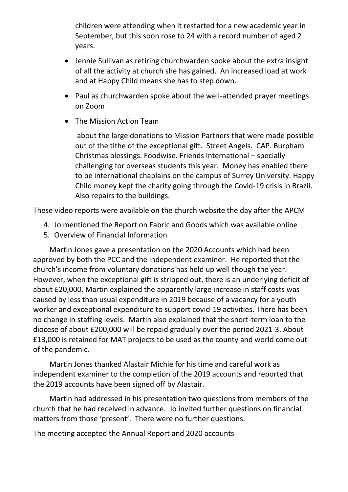children were attending when it restarted for a new academic year in September, but this soon rose to 24 with a record number of aged 2 years.

- Jennie Sullivan as retiring churchwarden spoke about the extra insight of all the activity at church she has gained. An increased load at work and at Happy Child means she has to step down.
- Paul as churchwarden spoke about the well-attended prayer meetings on Zoom
- The Mission Action Team

about the large donations to Mission Partners that were made possible out of the tithe of the exceptional gift. Street Angels. CAP. Burpham Christmas blessings. Foodwise. Friends International – specially challenging for overseas students this year. Money has enabled there to be international chaplains on the campus of Surrey University. Happy Child money kept the charity going through the Covid-19 crisis in Brazil. Also repairs to the buildings.

These video reports were available on the church website the day after the APCM

- 4. Jo mentioned the Report on Fabric and Goods which was available online
- 5. Overview of Financial Information

Martin Jones gave a presentation on the 2020 Accounts which had been approved by both the PCC and the independent examiner. He reported that the church's income from voluntary donations has held up well though the year. However, when the exceptional gift is stripped out, there is an underlying deficit of about £20,000. Martin explained the apparently large increase in staff costs was caused by less than usual expenditure in 2019 because of a vacancy for a youth worker and exceptional expenditure to support covid-19 activities. There has been no change in staffing levels. Martin also explained that the short-term loan to the diocese of about £200,000 will be repaid gradually over the period 2021-3. About £13,000 is retained for MAT projects to be used as the county and world come out of the pandemic.

Martin Jones thanked Alastair Michie for his time and careful work as independent examiner to the completion of the 2019 accounts and reported that the 2019 accounts have been signed off by Alastair.

Martin had addressed in his presentation two questions from members of the church that he had received in advance. Jo invited further questions on financial matters from those 'present'. There were no further questions.

The meeting accepted the Annual Report and 2020 accounts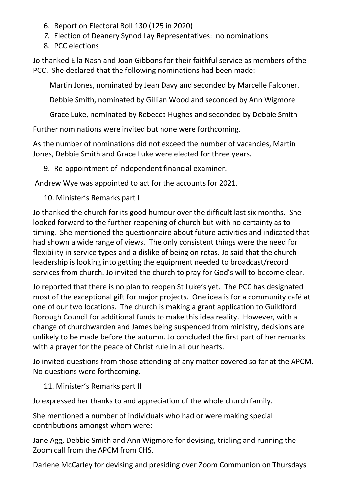- 6. Report on Electoral Roll 130 (125 in 2020)
- *7.* Election of Deanery Synod Lay Representatives: no nominations
- 8. PCC elections

Jo thanked Ella Nash and Joan Gibbons for their faithful service as members of the PCC. She declared that the following nominations had been made:

Martin Jones, nominated by Jean Davy and seconded by Marcelle Falconer.

Debbie Smith, nominated by Gillian Wood and seconded by Ann Wigmore

Grace Luke, nominated by Rebecca Hughes and seconded by Debbie Smith

Further nominations were invited but none were forthcoming.

As the number of nominations did not exceed the number of vacancies, Martin Jones, Debbie Smith and Grace Luke were elected for three years.

9. Re-appointment of independent financial examiner.

Andrew Wye was appointed to act for the accounts for 2021.

10. Minister's Remarks part I

Jo thanked the church for its good humour over the difficult last six months. She looked forward to the further reopening of church but with no certainty as to timing. She mentioned the questionnaire about future activities and indicated that had shown a wide range of views. The only consistent things were the need for flexibility in service types and a dislike of being on rotas. Jo said that the church leadership is looking into getting the equipment needed to broadcast/record services from church. Jo invited the church to pray for God's will to become clear.

Jo reported that there is no plan to reopen St Luke's yet. The PCC has designated most of the exceptional gift for major projects. One idea is for a community café at one of our two locations. The church is making a grant application to Guildford Borough Council for additional funds to make this idea reality. However, with a change of churchwarden and James being suspended from ministry, decisions are unlikely to be made before the autumn. Jo concluded the first part of her remarks with a prayer for the peace of Christ rule in all our hearts.

Jo invited questions from those attending of any matter covered so far at the APCM. No questions were forthcoming.

11. Minister's Remarks part II

Jo expressed her thanks to and appreciation of the whole church family.

She mentioned a number of individuals who had or were making special contributions amongst whom were:

Jane Agg, Debbie Smith and Ann Wigmore for devising, trialing and running the Zoom call from the APCM from CHS.

Darlene McCarley for devising and presiding over Zoom Communion on Thursdays